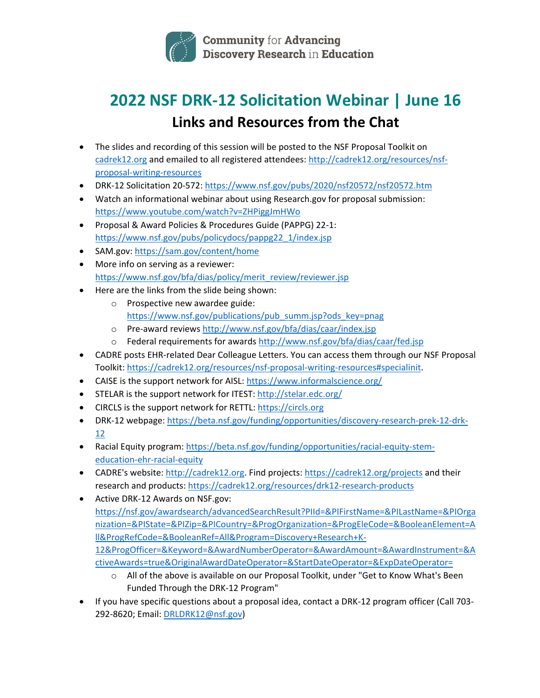

## **2022 NSF DRK-12 Solicitation Webinar | June 16 Links and Resources from the Chat**

- The slides and recording of this session will be posted to the NSF Proposal Toolkit on cadrek12.org and emailed to all registered attendees: http://cadrek12.org/resources/nsfproposal-writing-resources
- DRK-12 Solicitation 20-572: https://www.nsf.gov/pubs/2020/nsf20572/nsf20572.htm
- Watch an informational webinar about using Research.gov for proposal submission: https://www.youtube.com/watch?v=ZHPiggJmHWo
- Proposal & Award Policies & Procedures Guide (PAPPG) 22-1: https://www.nsf.gov/pubs/policydocs/pappg22\_1/index.jsp
- SAM.gov: https://sam.gov/content/home
- More info on serving as a reviewer: https://www.nsf.gov/bfa/dias/policy/merit\_review/reviewer.jsp
- Here are the links from the slide being shown:
	- o Prospective new awardee guide: https://www.nsf.gov/publications/pub\_summ.jsp?ods\_key=pnag
	- o Pre-award reviews http://www.nsf.gov/bfa/dias/caar/index.jsp
	- o Federal requirements for awards http://www.nsf.gov/bfa/dias/caar/fed.jsp
- CADRE posts EHR-related Dear Colleague Letters. You can access them through our NSF Proposal Toolkit: https://cadrek12.org/resources/nsf-proposal-writing-resources#specialinit.
- CAISE is the support network for AISL: https://www.informalscience.org/
- STELAR is the support network for ITEST: http://stelar.edc.org/
- CIRCLS is the support network for RETTL: https://circls.org
- DRK-12 webpage: https://beta.nsf.gov/funding/opportunities/discovery-research-prek-12-drk-12
- Racial Equity program: https://beta.nsf.gov/funding/opportunities/racial-equity-stemeducation-ehr-racial-equity
- CADRE's website: http://cadrek12.org. Find projects: https://cadrek12.org/projects and their research and products: https://cadrek12.org/resources/drk12-research-products
- Active DRK-12 Awards on NSF.gov: https://nsf.gov/awardsearch/advancedSearchResult?PIId=&PIFirstName=&PILastName=&PIOrga nization=&PIState=&PIZip=&PICountry=&ProgOrganization=&ProgEleCode=&BooleanElement=A ll&ProgRefCode=&BooleanRef=All&Program=Discovery+Research+K-12&ProgOfficer=&Keyword=&AwardNumberOperator=&AwardAmount=&AwardInstrument=&A ctiveAwards=true&OriginalAwardDateOperator=&StartDateOperator=&ExpDateOperator=
	- o All of the above is available on our Proposal Toolkit, under "Get to Know What's Been Funded Through the DRK-12 Program"
- If you have specific questions about a proposal idea, contact a DRK-12 program officer (Call 703- 292-8620; Email: DRLDRK12@nsf.gov)